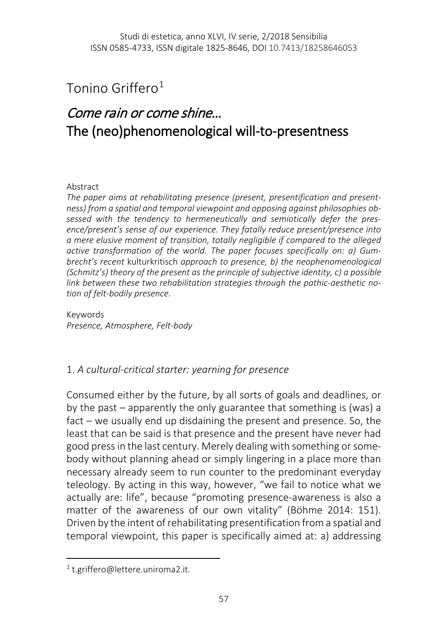# Tonino Griffero[1](#page-0-0)

# Come rain or come shine… The (neo)phenomenological will-to-presentness

### Abstract

*The paper aims at rehabilitating presence (present, presentification and presentness) from a spatial and temporal viewpoint and opposing against philosophies obsessed with the tendency to hermeneutically and semiotically defer the presence/present's sense of our experience. They fatally reduce present/presence into a mere elusive moment of transition, totally negligible if compared to the alleged active transformation of the world. The paper focuses specifically on: a) Gumbrecht's recent* kulturkritisch *approach to presence, b) the neophenomenological (Schmitz's) theory of the present as the principle of subjective identity, c) a possible link between these two rehabilitation strategies through the pathic-aesthetic notion of felt-bodily presence.*

Keywords *Presence, Atmosphere, Felt-body*

### 1. *A cultural-critical starter: yearning for presence*

Consumed either by the future, by all sorts of goals and deadlines, or by the past – apparently the only guarantee that something is (was) a fact – we usually end up disdaining the present and presence. So, the least that can be said is that presence and the present have never had good press in the last century. Merely dealing with something or somebody without planning ahead or simply lingering in a place more than necessary already seem to run counter to the predominant everyday teleology. By acting in this way, however, "we fail to notice what we actually are: life", because "promoting presence-awareness is also a matter of the awareness of our own vitality" (Böhme 2014: 151). Driven by the intent of rehabilitating presentification from a spatial and temporal viewpoint, this paper is specifically aimed at: a) addressing

<span id="page-0-0"></span> <sup>1</sup> t.griffero@lettere.uniroma2.it.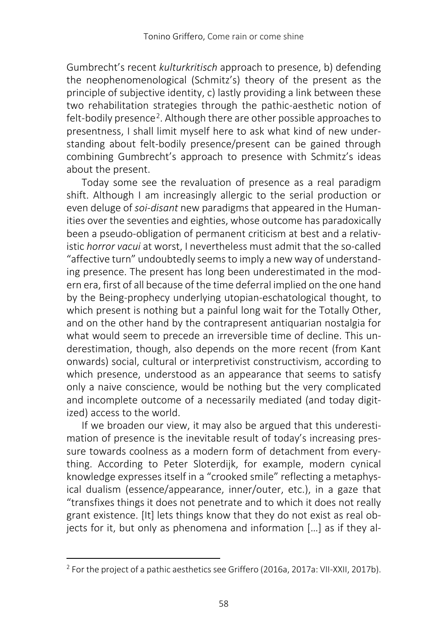Gumbrecht's recent *kulturkritisch* approach to presence, b) defending the neophenomenological (Schmitz's) theory of the present as the principle of subjective identity, c) lastly providing a link between these two rehabilitation strategies through the pathic-aesthetic notion of felt-bodily presence<sup>2</sup>. Although there are other possible approaches to presentness, I shall limit myself here to ask what kind of new understanding about felt-bodily presence/present can be gained through combining Gumbrecht's approach to presence with Schmitz's ideas about the present.

Today some see the revaluation of presence as a real paradigm shift. Although I am increasingly allergic to the serial production or even deluge of *soi-disant* new paradigms that appeared in the Humanities over the seventies and eighties, whose outcome has paradoxically been a pseudo-obligation of permanent criticism at best and a relativistic *horror vacui* at worst, I nevertheless must admit that the so-called "affective turn" undoubtedly seems to imply a new way of understanding presence. The present has long been underestimated in the modern era, first of all because of the time deferral implied on the one hand by the Being-prophecy underlying utopian-eschatological thought, to which present is nothing but a painful long wait for the Totally Other, and on the other hand by the contrapresent antiquarian nostalgia for what would seem to precede an irreversible time of decline. This underestimation, though, also depends on the more recent (from Kant onwards) social, cultural or interpretivist constructivism, according to which presence, understood as an appearance that seems to satisfy only a naive conscience, would be nothing but the very complicated and incomplete outcome of a necessarily mediated (and today digitized) access to the world.

If we broaden our view, it may also be argued that this underestimation of presence is the inevitable result of today's increasing pressure towards coolness as a modern form of detachment from everything. According to Peter Sloterdijk, for example, modern cynical knowledge expresses itself in a "crooked smile" reflecting a metaphysical dualism (essence/appearance, inner/outer, etc.), in a gaze that "transfixes things it does not penetrate and to which it does not really grant existence. [It] lets things know that they do not exist as real objects for it, but only as phenomena and information […] as if they al-

<span id="page-1-0"></span><sup>&</sup>lt;sup>2</sup> For the project of a pathic aesthetics see Griffero (2016a, 2017a: VII-XXII, 2017b).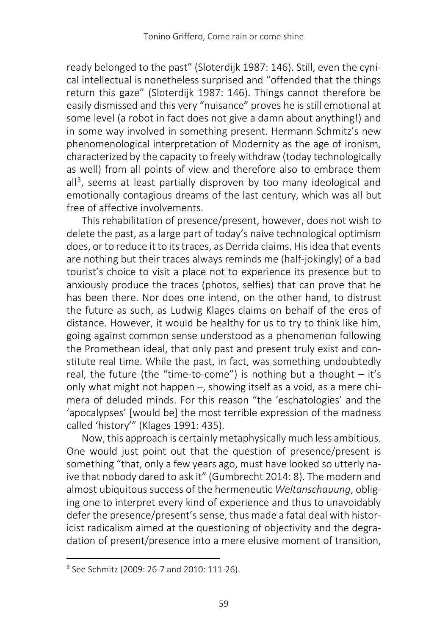ready belonged to the past" (Sloterdijk 1987: 146). Still, even the cynical intellectual is nonetheless surprised and "offended that the things return this gaze" (Sloterdijk 1987: 146). Things cannot therefore be easily dismissed and this very "nuisance" proves he is still emotional at some level (a robot in fact does not give a damn about anything!) and in some way involved in something present. Hermann Schmitz's new phenomenological interpretation of Modernity as the age of ironism, characterized by the capacity to freely withdraw (today technologically as well) from all points of view and therefore also to embrace them  $all<sup>3</sup>$ , seems at least partially disproven by too many ideological and emotionally contagious dreams of the last century, which was all but free of affective involvements.

This rehabilitation of presence/present, however, does not wish to delete the past, as a large part of today's naive technological optimism does, or to reduce it to its traces, as Derrida claims. His idea that events are nothing but their traces always reminds me (half-jokingly) of a bad tourist's choice to visit a place not to experience its presence but to anxiously produce the traces (photos, selfies) that can prove that he has been there. Nor does one intend, on the other hand, to distrust the future as such, as Ludwig Klages claims on behalf of the eros of distance. However, it would be healthy for us to try to think like him, going against common sense understood as a phenomenon following the Promethean ideal, that only past and present truly exist and constitute real time. While the past, in fact, was something undoubtedly real, the future (the "time-to-come") is nothing but a thought  $-$  it's only what might not happen -, showing itself as a void, as a mere chimera of deluded minds. For this reason "the 'eschatologies' and the 'apocalypses' [would be] the most terrible expression of the madness called 'history'" (Klages 1991: 435).

Now, this approach is certainly metaphysically much less ambitious. One would just point out that the question of presence/present is something "that, only a few years ago, must have looked so utterly naive that nobody dared to ask it" (Gumbrecht 2014: 8). The modern and almost ubiquitous success of the hermeneutic *Weltanschauung*, obliging one to interpret every kind of experience and thus to unavoidably defer the presence/present's sense, thus made a fatal deal with historicist radicalism aimed at the questioning of objectivity and the degradation of present/presence into a mere elusive moment of transition,

<span id="page-2-0"></span> <sup>3</sup> See Schmitz (2009: 26-7 and 2010: 111-26).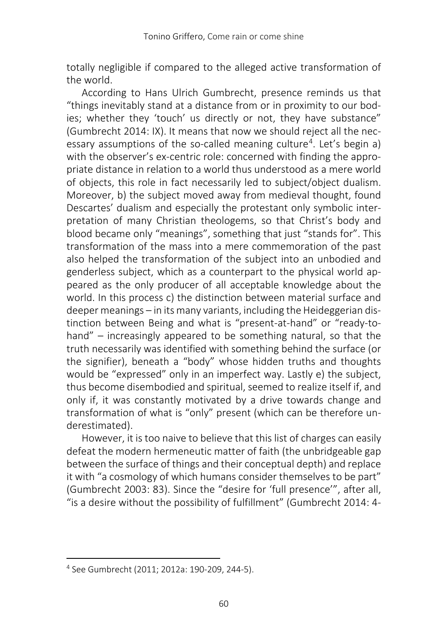totally negligible if compared to the alleged active transformation of the world.

According to Hans Ulrich Gumbrecht, presence reminds us that "things inevitably stand at a distance from or in proximity to our bodies; whether they 'touch' us directly or not, they have substance" (Gumbrecht 2014: IX). It means that now we should reject all the nec-essary assumptions of the so-called meaning culture<sup>[4](#page-3-0)</sup>. Let's begin a) with the observer's ex-centric role: concerned with finding the appropriate distance in relation to a world thus understood as a mere world of objects, this role in fact necessarily led to subject/object dualism. Moreover, b) the subject moved away from medieval thought, found Descartes' dualism and especially the protestant only symbolic interpretation of many Christian theologems, so that Christ's body and blood became only "meanings", something that just "stands for". This transformation of the mass into a mere commemoration of the past also helped the transformation of the subject into an unbodied and genderless subject, which as a counterpart to the physical world appeared as the only producer of all acceptable knowledge about the world. In this process c) the distinction between material surface and deeper meanings – in its many variants, including the Heideggerian distinction between Being and what is "present-at-hand" or "ready-tohand" – increasingly appeared to be something natural, so that the truth necessarily was identified with something behind the surface (or the signifier), beneath a "body" whose hidden truths and thoughts would be "expressed" only in an imperfect way. Lastly e) the subject, thus become disembodied and spiritual, seemed to realize itself if, and only if, it was constantly motivated by a drive towards change and transformation of what is "only" present (which can be therefore underestimated).

However, it is too naive to believe that this list of charges can easily defeat the modern hermeneutic matter of faith (the unbridgeable gap between the surface of things and their conceptual depth) and replace it with "a cosmology of which humans consider themselves to be part" (Gumbrecht 2003: 83). Since the "desire for 'full presence'", after all, "is a desire without the possibility of fulfillment" (Gumbrecht 2014: 4-

<span id="page-3-0"></span> <sup>4</sup> See Gumbrecht (2011; 2012a: 190-209, 244-5).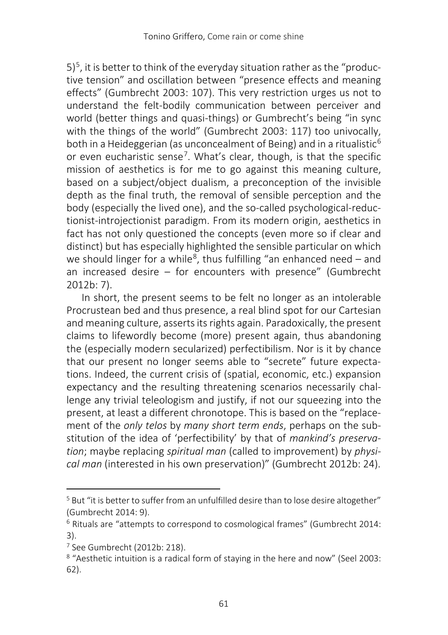$5$ <sup>5</sup>, it is better to think of the everyday situation rather as the "productive tension" and oscillation between "presence effects and meaning effects" (Gumbrecht 2003: 107). This very restriction urges us not to understand the felt-bodily communication between perceiver and world (better things and quasi-things) or Gumbrecht's being "in sync with the things of the world" (Gumbrecht 2003: 117) too univocally, both in a Heideggerian (as unconcealment of Being) and in a ritualistic<sup>[6](#page-4-1)</sup> or even eucharistic sense<sup>7</sup>. What's clear, though, is that the specific mission of aesthetics is for me to go against this meaning culture, based on a subject/object dualism, a preconception of the invisible depth as the final truth, the removal of sensible perception and the body (especially the lived one), and the so-called psychological-reductionist-introjectionist paradigm. From its modern origin, aesthetics in fact has not only questioned the concepts (even more so if clear and distinct) but has especially highlighted the sensible particular on which we should linger for a while<sup>8</sup>, thus fulfilling "an enhanced need – and an increased desire – for encounters with presence" (Gumbrecht 2012b: 7).

In short, the present seems to be felt no longer as an intolerable Procrustean bed and thus presence, a real blind spot for our Cartesian and meaning culture, asserts its rights again. Paradoxically, the present claims to lifewordly become (more) present again, thus abandoning the (especially modern secularized) perfectibilism. Nor is it by chance that our present no longer seems able to "secrete" future expectations. Indeed, the current crisis of (spatial, economic, etc.) expansion expectancy and the resulting threatening scenarios necessarily challenge any trivial teleologism and justify, if not our squeezing into the present, at least a different chronotope. This is based on the "replacement of the *only telos* by *many short term ends*, perhaps on the substitution of the idea of 'perfectibility' by that of *mankind's preservation*; maybe replacing *spiritual man* (called to improvement) by *physical man* (interested in his own preservation)" (Gumbrecht 2012b: 24).

<span id="page-4-0"></span><sup>&</sup>lt;sup>5</sup> But "it is better to suffer from an unfulfilled desire than to lose desire altogether" (Gumbrecht 2014: 9).

<span id="page-4-1"></span><sup>&</sup>lt;sup>6</sup> Rituals are "attempts to correspond to cosmological frames" (Gumbrecht 2014: 3).

<span id="page-4-2"></span><sup>7</sup> See Gumbrecht (2012b: 218).

<span id="page-4-3"></span><sup>8</sup> "Aesthetic intuition is a radical form of staying in the here and now" (Seel 2003: 62).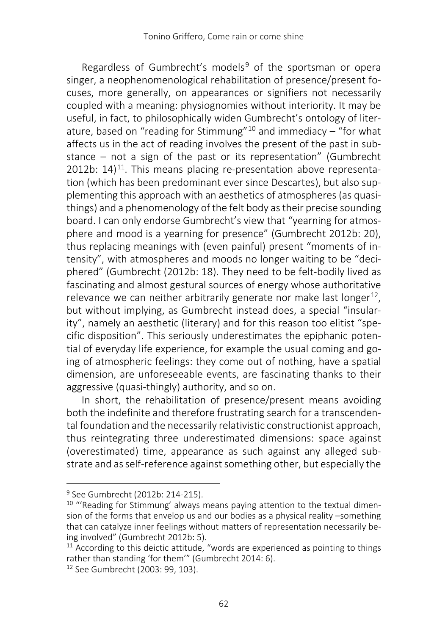Regardless of Gumbrecht's models<sup>[9](#page-5-0)</sup> of the sportsman or opera singer, a neophenomenological rehabilitation of presence/present focuses, more generally, on appearances or signifiers not necessarily coupled with a meaning: physiognomies without interiority. It may be useful, in fact, to philosophically widen Gumbrecht's ontology of liter-ature, based on "reading for Stimmung"<sup>[10](#page-5-1)</sup> and immediacy  $-\pi$  for what affects us in the act of reading involves the present of the past in substance  $-$  not a sign of the past or its representation" (Gumbrecht 2012b:  $14$ <sup>11</sup>. This means placing re-presentation above representation (which has been predominant ever since Descartes), but also supplementing this approach with an aesthetics of atmospheres (as quasithings) and a phenomenology of the felt body as their precise sounding board. I can only endorse Gumbrecht's view that "yearning for atmosphere and mood is a yearning for presence" (Gumbrecht 2012b: 20), thus replacing meanings with (even painful) present "moments of intensity", with atmospheres and moods no longer waiting to be "deciphered" (Gumbrecht (2012b: 18). They need to be felt-bodily lived as fascinating and almost gestural sources of energy whose authoritative relevance we can neither arbitrarily generate nor make last longer<sup>12</sup>, but without implying, as Gumbrecht instead does, a special "insularity", namely an aesthetic (literary) and for this reason too elitist "specific disposition". This seriously underestimates the epiphanic potential of everyday life experience, for example the usual coming and going of atmospheric feelings: they come out of nothing, have a spatial dimension, are unforeseeable events, are fascinating thanks to their aggressive (quasi-thingly) authority, and so on.

In short, the rehabilitation of presence/present means avoiding both the indefinite and therefore frustrating search for a transcendental foundation and the necessarily relativistic constructionist approach, thus reintegrating three underestimated dimensions: space against (overestimated) time, appearance as such against any alleged substrate and as self-reference against something other, but especially the

<sup>&</sup>lt;sup>9</sup> See Gumbrecht (2012b: 214-215).

<span id="page-5-1"></span><span id="page-5-0"></span><sup>&</sup>lt;sup>10</sup> "'Reading for Stimmung' always means paying attention to the textual dimension of the forms that envelop us and our bodies as a physical reality -something that can catalyze inner feelings without matters of representation necessarily being involved" (Gumbrecht 2012b: 5).

<span id="page-5-2"></span> $11$  According to this deictic attitude, "words are experienced as pointing to things rather than standing 'for them'" (Gumbrecht 2014: 6).

<span id="page-5-3"></span><sup>12</sup> See Gumbrecht (2003: 99, 103).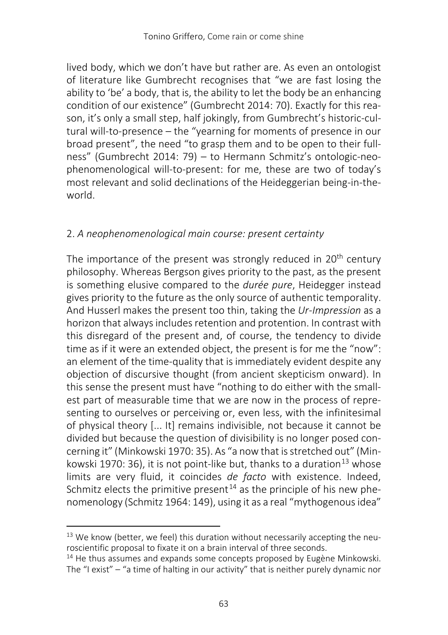lived body, which we don't have but rather are. As even an ontologist of literature like Gumbrecht recognises that "we are fast losing the ability to 'be' a body, that is, the ability to let the body be an enhancing condition of our existence" (Gumbrecht 2014: 70). Exactly for this reason, it's only a small step, half jokingly, from Gumbrecht's historic-cultural will-to-presence – the "yearning for moments of presence in our broad present", the need "to grasp them and to be open to their fullness" (Gumbrecht 2014: 79) – to Hermann Schmitz's ontologic-neophenomenological will-to-present: for me, these are two of today's most relevant and solid declinations of the Heideggerian being-in-theworld.

## 2. *A neophenomenological main course: present certainty*

The importance of the present was strongly reduced in 20<sup>th</sup> century philosophy. Whereas Bergson gives priority to the past, as the present is something elusive compared to the *durée pure*, Heidegger instead gives priority to the future as the only source of authentic temporality. And Husserl makes the present too thin, taking the *Ur-Impression* as a horizon that always includes retention and protention. In contrast with this disregard of the present and, of course, the tendency to divide time as if it were an extended object, the present is for me the "now": an element of the time-quality that is immediately evident despite any objection of discursive thought (from ancient skepticism onward). In this sense the present must have "nothing to do either with the smallest part of measurable time that we are now in the process of representing to ourselves or perceiving or, even less, with the infinitesimal of physical theory [... It] remains indivisible, not because it cannot be divided but because the question of divisibility is no longer posed concerning it" (Minkowski 1970: 35). As "a now that is stretched out" (Min-kowski 1970: 36), it is not point-like but, thanks to a duration<sup>[13](#page-6-0)</sup> whose limits are very fluid, it coincides *de facto* with existence. Indeed, Schmitz elects the primitive present<sup>[14](#page-6-1)</sup> as the principle of his new phenomenology (Schmitz 1964: 149), using it as a real "mythogenous idea"

<span id="page-6-0"></span> $13$  We know (better, we feel) this duration without necessarily accepting the neuroscientific proposal to fixate it on a brain interval of three seconds.

<span id="page-6-1"></span><sup>&</sup>lt;sup>14</sup> He thus assumes and expands some concepts proposed by Eugène Minkowski. The "I exist" – "a time of halting in our activity" that is neither purely dynamic nor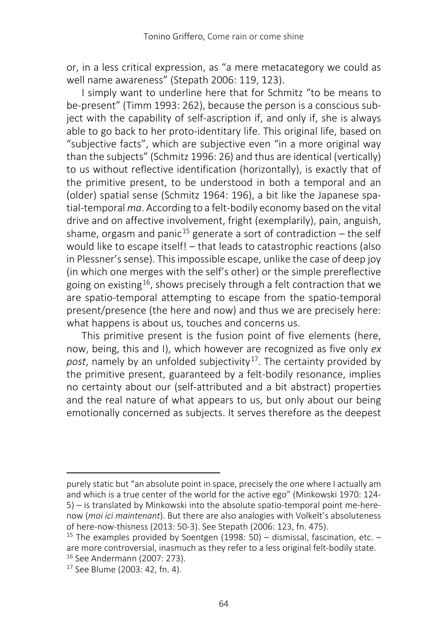or, in a less critical expression, as "a mere metacategory we could as well name awareness" (Stepath 2006: 119, 123).

I simply want to underline here that for Schmitz "to be means to be-present" (Timm 1993: 262), because the person is a conscious subject with the capability of self-ascription if, and only if, she is always able to go back to her proto-identitary life. This original life, based on "subjective facts", which are subjective even "in a more original way than the subjects" (Schmitz 1996: 26) and thus are identical (vertically) to us without reflective identification (horizontally), is exactly that of the primitive present, to be understood in both a temporal and an (older) spatial sense (Schmitz 1964: 196), a bit like the Japanese spatial-temporal *ma*. According to a felt-bodily economy based on the vital drive and on affective involvement, fright (exemplarily), pain, anguish, shame, orgasm and panic<sup>[15](#page-7-0)</sup> generate a sort of contradiction – the self would like to escape itself! – that leads to catastrophic reactions (also in Plessner's sense). This impossible escape, unlike the case of deep joy (in which one merges with the self's other) or the simple prereflective going on existing<sup>16</sup>, shows precisely through a felt contraction that we are spatio-temporal attempting to escape from the spatio-temporal present/presence (the here and now) and thus we are precisely here: what happens is about us, touches and concerns us.

This primitive present is the fusion point of five elements (here, now, being, this and I), which however are recognized as five only *ex*  post, namely by an unfolded subjectivity<sup>[17](#page-7-2)</sup>. The certainty provided by the primitive present, guaranteed by a felt-bodily resonance, implies no certainty about our (self-attributed and a bit abstract) properties and the real nature of what appears to us, but only about our being emotionally concerned as subjects. It serves therefore as the deepest

l

purely static but "an absolute point in space, precisely the one where I actually am and which is a true center of the world for the active ego" (Minkowski 1970: 124- 5) ‒ is translated by Minkowski into the absolute spatio-temporal point me-herenow (*moi ici maintenant*). But there are also analogies with Volkelt's absoluteness of here-now-thisness (2013: 50-3). See Stepath (2006: 123, fn. 475).

<span id="page-7-0"></span><sup>&</sup>lt;sup>15</sup> The examples provided by Soentgen (1998: 50) – dismissal, fascination, etc. – are more controversial, inasmuch as they refer to a less original felt-bodily state. <sup>16</sup> See Andermann (2007: 273).

<span id="page-7-2"></span><span id="page-7-1"></span><sup>17</sup> See Blume (2003: 42, fn. 4).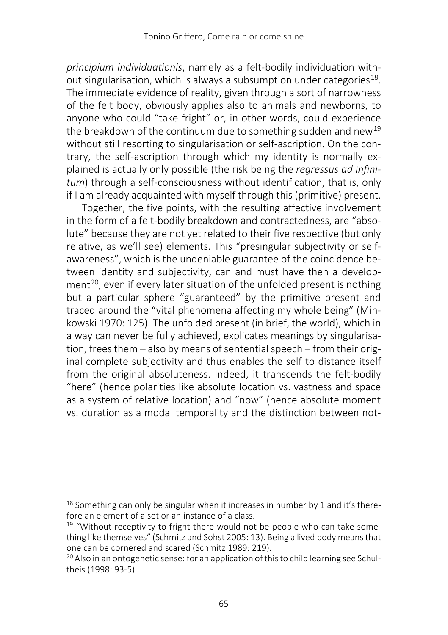*principium individuationis*, namely as a felt-bodily individuation without singularisation, which is always a subsumption under categories<sup>18</sup>. The immediate evidence of reality, given through a sort of narrowness of the felt body, obviously applies also to animals and newborns, to anyone who could "take fright" or, in other words, could experience the breakdown of the continuum due to something sudden and new<sup>[19](#page-8-1)</sup> without still resorting to singularisation or self-ascription. On the contrary, the self-ascription through which my identity is normally explained is actually only possible (the risk being the *regressus ad infinitum*) through a self-consciousness without identification, that is, only if I am already acquainted with myself through this (primitive) present.

Together, the five points, with the resulting affective involvement in the form of a felt-bodily breakdown and contractedness, are "absolute" because they are not yet related to their five respective (but only relative, as we'll see) elements. This "presingular subjectivity or selfawareness", which is the undeniable guarantee of the coincidence between identity and subjectivity, can and must have then a develop-ment<sup>[20](#page-8-2)</sup>, even if every later situation of the unfolded present is nothing but a particular sphere "guaranteed" by the primitive present and traced around the "vital phenomena affecting my whole being" (Minkowski 1970: 125). The unfolded present (in brief, the world), which in a way can never be fully achieved, explicates meanings by singularisation, frees them – also by means of sentential speech – from their original complete subjectivity and thus enables the self to distance itself from the original absoluteness. Indeed, it transcends the felt-bodily "here" (hence polarities like absolute location vs. vastness and space as a system of relative location) and "now" (hence absolute moment vs. duration as a modal temporality and the distinction between not-

<span id="page-8-0"></span> $18$  Something can only be singular when it increases in number by 1 and it's therefore an element of a set or an instance of a class.

<span id="page-8-1"></span> $19$  "Without receptivity to fright there would not be people who can take something like themselves" (Schmitz and Sohst 2005: 13). Being a lived body means that one can be cornered and scared (Schmitz 1989: 219).

<span id="page-8-2"></span><sup>&</sup>lt;sup>20</sup> Also in an ontogenetic sense: for an application of this to child learning see Schultheis (1998: 93-5).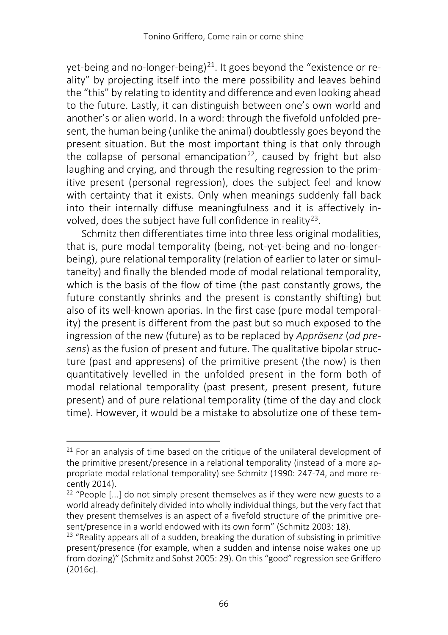yet-being and no-longer-being)<sup>[21](#page-9-0)</sup>. It goes beyond the "existence or reality" by projecting itself into the mere possibility and leaves behind the "this" by relating to identity and difference and even looking ahead to the future. Lastly, it can distinguish between one's own world and another's or alien world. In a word: through the fivefold unfolded present, the human being (unlike the animal) doubtlessly goes beyond the present situation. But the most important thing is that only through the collapse of personal emancipation<sup>22</sup>, caused by fright but also laughing and crying, and through the resulting regression to the primitive present (personal regression), does the subject feel and know with certainty that it exists. Only when meanings suddenly fall back into their internally diffuse meaningfulness and it is affectively in-volved, does the subject have full confidence in reality<sup>[23](#page-9-2)</sup>.

Schmitz then differentiates time into three less original modalities, that is, pure modal temporality (being, not-yet-being and no-longerbeing), pure relational temporality (relation of earlier to later or simultaneity) and finally the blended mode of modal relational temporality, which is the basis of the flow of time (the past constantly grows, the future constantly shrinks and the present is constantly shifting) but also of its well-known aporias. In the first case (pure modal temporality) the present is different from the past but so much exposed to the ingression of the new (future) as to be replaced by *Appräsenz* (*ad presens*) as the fusion of present and future. The qualitative bipolar structure (past and appresens) of the primitive present (the now) is then quantitatively levelled in the unfolded present in the form both of modal relational temporality (past present, present present, future present) and of pure relational temporality (time of the day and clock time). However, it would be a mistake to absolutize one of these tem-

<span id="page-9-0"></span> $21$  For an analysis of time based on the critique of the unilateral development of the primitive present/presence in a relational temporality (instead of a more appropriate modal relational temporality) see Schmitz (1990: 247-74, and more recently 2014).

<span id="page-9-1"></span> $22$  "People [...] do not simply present themselves as if they were new guests to a world already definitely divided into wholly individual things, but the very fact that they present themselves is an aspect of a fivefold structure of the primitive present/presence in a world endowed with its own form" (Schmitz 2003: 18).

<span id="page-9-2"></span> $23$  "Reality appears all of a sudden, breaking the duration of subsisting in primitive present/presence (for example, when a sudden and intense noise wakes one up from dozing)" (Schmitz and Sohst 2005: 29). On this "good" regression see Griffero (2016c).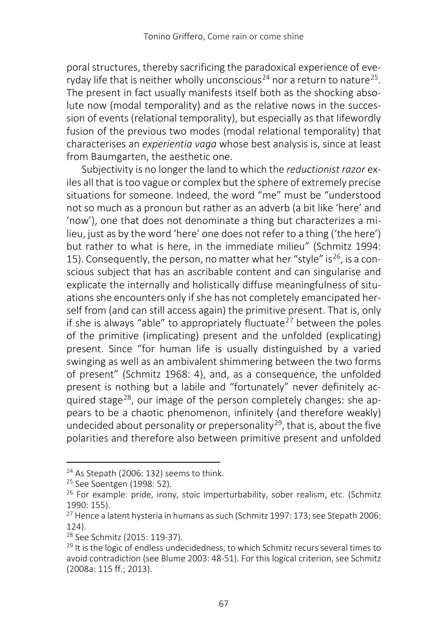poral structures, thereby sacrificing the paradoxical experience of eve-ryday life that is neither wholly unconscious<sup>[24](#page-10-0)</sup> nor a return to nature<sup>25</sup>. The present in fact usually manifests itself both as the shocking absolute now (modal temporality) and as the relative nows in the succession of events (relational temporality), but especially as that lifewordly fusion of the previous two modes (modal relational temporality) that characterises an *experientia vaga* whose best analysis is, since at least from Baumgarten, the aesthetic one.

Subjectivity is no longer the land to which the *reductionist razor* exiles all that is too vague or complex but the sphere of extremely precise situations for someone. Indeed, the word "me" must be "understood not so much as a pronoun but rather as an adverb (a bit like 'here' and 'now'), one that does not denominate a thing but characterizes a milieu, just as by the word 'here' one does not refer to a thing ('the here') but rather to what is here, in the immediate milieu" (Schmitz 1994: 15). Consequently, the person, no matter what her "style" is  $26$ , is a conscious subject that has an ascribable content and can singularise and explicate the internally and holistically diffuse meaningfulness of situations she encounters only if she has not completely emancipated herself from (and can still access again) the primitive present. That is, only if she is always "able" to appropriately fluctuate<sup>[27](#page-10-3)</sup> between the poles of the primitive (implicating) present and the unfolded (explicating) present. Since "for human life is usually distinguished by a varied swinging as well as an ambivalent shimmering between the two forms of present" (Schmitz 1968: 4), and, as a consequence, the unfolded present is nothing but a labile and "fortunately" never definitely ac-quired stage<sup>[28](#page-10-4)</sup>, our image of the person completely changes: she appears to be a chaotic phenomenon, infinitely (and therefore weakly) undecided about personality or prepersonality<sup>[29](#page-10-5)</sup>, that is, about the five polarities and therefore also between primitive present and unfolded

<span id="page-10-0"></span><sup>&</sup>lt;sup>24</sup> As Stepath (2006: 132) seems to think.

<span id="page-10-1"></span><sup>&</sup>lt;sup>25</sup> See Soentgen (1998: 52).

<span id="page-10-2"></span><sup>26</sup> For example: pride, irony, stoic imperturbability, sober realism, etc. (Schmitz 1990: 155).

<span id="page-10-3"></span><sup>27</sup> Hence a latent hysteria in humans as such (Schmitz 1997: 173; see Stepath 2006: 124).

<span id="page-10-4"></span><sup>28</sup> See Schmitz (2015: 119-37).

<span id="page-10-5"></span><sup>&</sup>lt;sup>29</sup> It is the logic of endless undecidedness, to which Schmitz recurs several times to avoid contradiction (see Blume 2003: 48-51). For this logical criterion, see Schmitz (2008a: 115 ff.; 2013).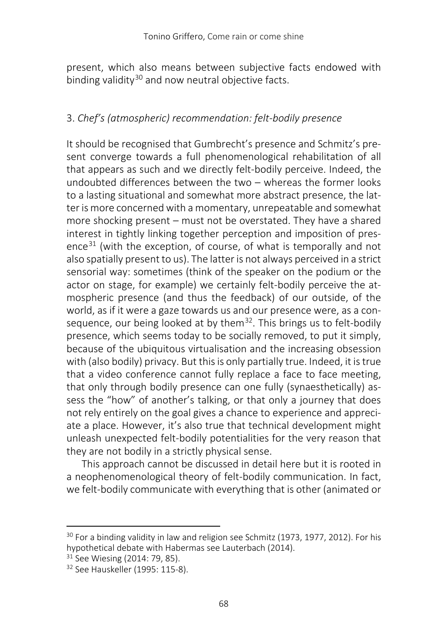present, which also means between subjective facts endowed with binding validity<sup>[30](#page-11-0)</sup> and now neutral objective facts.

## 3. *Chef's (atmospheric) recommendation: felt-bodily presence*

It should be recognised that Gumbrecht's presence and Schmitz's present converge towards a full phenomenological rehabilitation of all that appears as such and we directly felt-bodily perceive. Indeed, the undoubted differences between the two  $-$  whereas the former looks to a lasting situational and somewhat more abstract presence, the latter is more concerned with a momentary, unrepeatable and somewhat more shocking present – must not be overstated. They have a shared interest in tightly linking together perception and imposition of pres-ence<sup>[31](#page-11-1)</sup> (with the exception, of course, of what is temporally and not also spatially present to us). The latter is not always perceived in a strict sensorial way: sometimes (think of the speaker on the podium or the actor on stage, for example) we certainly felt-bodily perceive the atmospheric presence (and thus the feedback) of our outside, of the world, as if it were a gaze towards us and our presence were, as a consequence, our being looked at by them<sup>32</sup>. This brings us to felt-bodily presence, which seems today to be socially removed, to put it simply, because of the ubiquitous virtualisation and the increasing obsession with (also bodily) privacy. But this is only partially true. Indeed, it is true that a video conference cannot fully replace a face to face meeting, that only through bodily presence can one fully (synaesthetically) assess the "how" of another's talking, or that only a journey that does not rely entirely on the goal gives a chance to experience and appreciate a place. However, it's also true that technical development might unleash unexpected felt-bodily potentialities for the very reason that they are not bodily in a strictly physical sense.

This approach cannot be discussed in detail here but it is rooted in a neophenomenological theory of felt-bodily communication. In fact, we felt-bodily communicate with everything that is other (animated or

<span id="page-11-0"></span><sup>&</sup>lt;sup>30</sup> For a binding validity in law and religion see Schmitz (1973, 1977, 2012). For his hypothetical debate with Habermas see Lauterbach (2014).

<span id="page-11-1"></span><sup>&</sup>lt;sup>31</sup> See Wiesing (2014: 79, 85).

<span id="page-11-2"></span><sup>32</sup> See Hauskeller (1995: 115-8).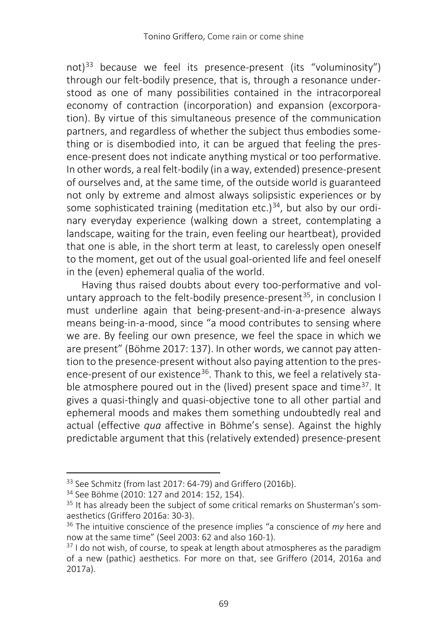not)<sup>[33](#page-12-0)</sup> because we feel its presence-present (its "voluminosity") through our felt-bodily presence, that is, through a resonance understood as one of many possibilities contained in the intracorporeal economy of contraction (incorporation) and expansion (excorporation). By virtue of this simultaneous presence of the communication partners, and regardless of whether the subject thus embodies something or is disembodied into, it can be argued that feeling the presence-present does not indicate anything mystical or too performative. In other words, a real felt-bodily (in a way, extended) presence-present of ourselves and, at the same time, of the outside world is guaranteed not only by extreme and almost always solipsistic experiences or by some sophisticated training (meditation etc.) $34$ , but also by our ordinary everyday experience (walking down a street, contemplating a landscape, waiting for the train, even feeling our heartbeat), provided that one is able, in the short term at least, to carelessly open oneself to the moment, get out of the usual goal-oriented life and feel oneself in the (even) ephemeral qualia of the world.

Having thus raised doubts about every too-performative and vol-untary approach to the felt-bodily presence-present<sup>[35](#page-12-2)</sup>, in conclusion I must underline again that being-present-and-in-a-presence always means being-in-a-mood, since "a mood contributes to sensing where we are. By feeling our own presence, we feel the space in which we are present" (Böhme 2017: 137). In other words, we cannot pay attention to the presence-present without also paying attention to the presence-present of our existence<sup>36</sup>. Thank to this, we feel a relatively stable atmosphere poured out in the (lived) present space and time<sup>37</sup>. It gives a quasi-thingly and quasi-objective tone to all other partial and ephemeral moods and makes them something undoubtedly real and actual (effective *qua* affective in Böhme's sense). Against the highly predictable argument that this (relatively extended) presence-present

<span id="page-12-0"></span><sup>&</sup>lt;sup>33</sup> See Schmitz (from last 2017: 64-79) and Griffero (2016b).

<span id="page-12-1"></span><sup>34</sup> See Böhme (2010: 127 and 2014: 152, 154).

<span id="page-12-2"></span><sup>&</sup>lt;sup>35</sup> It has already been the subject of some critical remarks on Shusterman's somaesthetics (Griffero 2016a: 30-3).

<span id="page-12-3"></span><sup>36</sup> The intuitive conscience of the presence implies "a conscience of *my* here and now at the same time" (Seel 2003: 62 and also 160-1).

<span id="page-12-4"></span> $37$  I do not wish, of course, to speak at length about atmospheres as the paradigm of a new (pathic) aesthetics. For more on that, see Griffero (2014, 2016a and 2017a).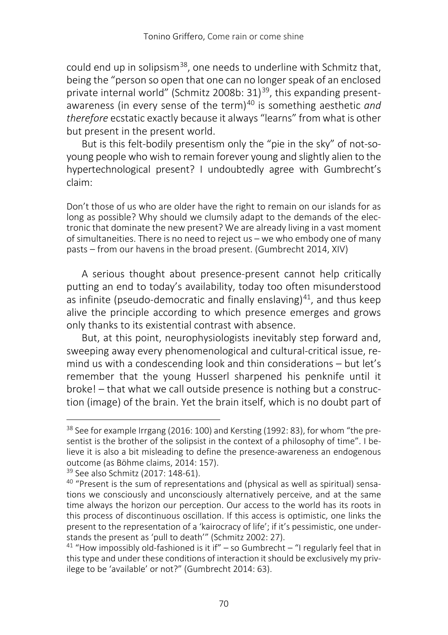could end up in solipsism<sup>38</sup>, one needs to underline with Schmitz that, being the "person so open that one can no longer speak of an enclosed private internal world" (Schmitz 2008b: 31)<sup>39</sup>, this expanding present-awareness (in every sense of the term)<sup>[40](#page-13-2)</sup> is something aesthetic *and therefore* ecstatic exactly because it always "learns" from what is other but present in the present world.

But is this felt-bodily presentism only the "pie in the sky" of not-soyoung people who wish to remain forever young and slightly alien to the hypertechnological present? I undoubtedly agree with Gumbrecht's claim:

Don't those of us who are older have the right to remain on our islands for as long as possible? Why should we clumsily adapt to the demands of the electronic that dominate the new present? We are already living in a vast moment of simultaneities. There is no need to reject us ‒ we who embody one of many pasts ‒ from our havens in the broad present. (Gumbrecht 2014, XIV)

A serious thought about presence-present cannot help critically putting an end to today's availability, today too often misunderstood as infinite (pseudo-democratic and finally enslaving) $41$ , and thus keep alive the principle according to which presence emerges and grows only thanks to its existential contrast with absence.

But, at this point, neurophysiologists inevitably step forward and, sweeping away every phenomenological and cultural-critical issue, remind us with a condescending look and thin considerations – but let's remember that the young Husserl sharpened his penknife until it broke! – that what we call outside presence is nothing but a construction (image) of the brain. Yet the brain itself, which is no doubt part of

<span id="page-13-1"></span><sup>39</sup> See also Schmitz (2017: 148-61).

<span id="page-13-0"></span><sup>&</sup>lt;sup>38</sup> See for example Irrgang (2016: 100) and Kersting (1992: 83), for whom "the presentist is the brother of the solipsist in the context of a philosophy of time". I believe it is also a bit misleading to define the presence-awareness an endogenous outcome (as Böhme claims, 2014: 157).

<span id="page-13-2"></span><sup>&</sup>lt;sup>40</sup> "Present is the sum of representations and (physical as well as spiritual) sensations we consciously and unconsciously alternatively perceive, and at the same time always the horizon our perception. Our access to the world has its roots in this process of discontinuous oscillation. If this access is optimistic, one links the present to the representation of a 'kairocracy of life'; if it's pessimistic, one understands the present as 'pull to death'" (Schmitz 2002: 27).

<span id="page-13-3"></span><sup>&</sup>lt;sup>41</sup> "How impossibly old-fashioned is it if" – so Gumbrecht – "I regularly feel that in this type and under these conditions of interaction it should be exclusively my privilege to be 'available' or not?" (Gumbrecht 2014: 63).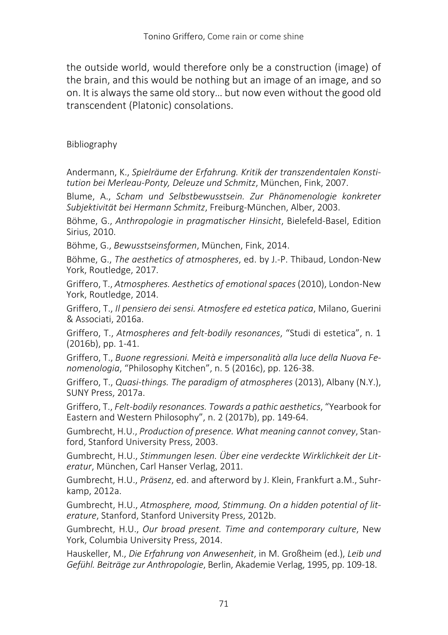the outside world, would therefore only be a construction (image) of the brain, and this would be nothing but an image of an image, and so on. It is always the same old story… but now even without the good old transcendent (Platonic) consolations.

### Bibliography

Andermann, K., *Spielräume der Erfahrung. Kritik der transzendentalen Konstitution bei Merleau-Ponty, Deleuze und Schmitz*, München, Fink, 2007.

Blume, A., *Scham und Selbstbewusstsein. Zur Phänomenologie konkreter Subjektivität bei Hermann Schmitz*, Freiburg-München, Alber, 2003.

Böhme, G., *Anthropologie in pragmatischer Hinsicht*, Bielefeld-Basel, Edition Sirius, 2010.

Böhme, G., *Bewusstseinsformen*, München, Fink, 2014.

Böhme, G., *The aesthetics of atmospheres*, ed. by J.-P. Thibaud, London-New York, Routledge, 2017.

Griffero, T., *Atmospheres. Aesthetics of emotional spaces* (2010), London-New York, Routledge, 2014.

Griffero, T., *Il pensiero dei sensi. Atmosfere ed estetica patica*, Milano, Guerini & Associati, 2016a.

Griffero, T., *Atmospheres and felt-bodily resonances*, "Studi di estetica", n. 1 (2016b), pp. 1-41.

Griffero, T., *Buone regressioni. Meità e impersonalità alla luce della Nuova Fenomenologia*, "Philosophy Kitchen", n. 5 (2016c), pp. 126-38.

Griffero, T., *Quasi-things. The paradigm of atmospheres* (2013), Albany (N.Y.), SUNY Press, 2017a.

Griffero, T., *Felt-bodily resonances. Towards a pathic aesthetics*, "Yearbook for Eastern and Western Philosophy", n. 2 (2017b), pp. 149-64.

Gumbrecht, H.U., *Production of presence. What meaning cannot convey*, Stanford, Stanford University Press, 2003.

Gumbrecht, H.U., *Stimmungen lesen. Über eine verdeckte Wirklichkeit der Literatur*, München, Carl Hanser Verlag, 2011.

Gumbrecht, H.U., *Präsenz*, ed. and afterword by J. Klein, Frankfurt a.M., Suhrkamp, 2012a.

Gumbrecht, H.U., *Atmosphere, mood, Stimmung. On a hidden potential of literature*, Stanford, Stanford University Press, 2012b.

Gumbrecht, H.U., *Our broad present. Time and contemporary culture*, New York, Columbia University Press, 2014.

Hauskeller, M., *Die Erfahrung von Anwesenheit*, in M. Großheim (ed.), *Leib und Gefühl. Beiträge zur Anthropologie*, Berlin, Akademie Verlag, 1995, pp. 109-18.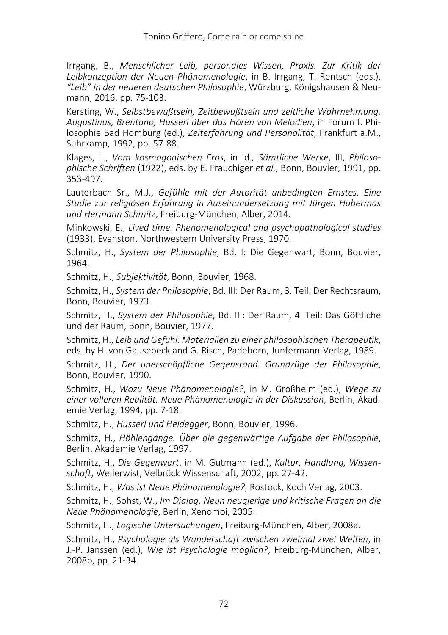Irrgang, B., *Menschlicher Leib, personales Wissen, Praxis. Zur Kritik der Leibkonzeption der Neuen Phänomenologie*, in B. Irrgang, T. Rentsch (eds.), *"Leib" in der neueren deutschen Philosophie*, Würzburg, Königshausen & Neumann, 2016, pp. 75-103.

Kersting, W., *Selbstbewußtsein, Zeitbewußtsein und zeitliche Wahrnehmung. Augustinus, Brentano, Husserl über das Hören von Melodien*, in Forum f. Philosophie Bad Homburg (ed.), *Zeiterfahrung und Personalität*, Frankfurt a.M., Suhrkamp, 1992, pp. 57-88.

Klages, L., *Vom kosmogonischen Eros*, in Id*., Sämtliche Werke*, III, *Philosophische Schriften* (1922), eds. by E. Frauchiger *et al.*, Bonn, Bouvier, 1991, pp. 353-497.

Lauterbach Sr., M.J., *Gefühle mit der Autorität unbedingten Ernstes. Eine Studie zur religiösen Erfahrung in Auseinandersetzung mit Jürgen Habermas und Hermann Schmitz*, Freiburg-München, Alber, 2014.

Minkowski, E., *Lived time. Phenomenological and psychopathological studies* (1933), Evanston, Northwestern University Press, 1970.

Schmitz, H., *System der Philosophie*, Bd. I: Die Gegenwart, Bonn, Bouvier, 1964.

Schmitz, H., *Subjektivität*, Bonn, Bouvier, 1968.

Schmitz, H., *System der Philosophie*, Bd. III: Der Raum, 3. Teil: Der Rechtsraum, Bonn, Bouvier, 1973.

Schmitz, H., *System der Philosophie*, Bd. III: Der Raum, 4. Teil: Das Göttliche und der Raum, Bonn, Bouvier, 1977.

Schmitz, H., *Leib und Gefühl. Materialien zu einer philosophischen Therapeutik*, eds. by H. von Gausebeck and G. Risch, Padeborn, Junfermann-Verlag, 1989.

Schmitz, H., *Der unerschöpfliche Gegenstand. Grundzüge der Philosophie*, Bonn, Bouvier, 1990.

Schmitz, H., *Wozu Neue Phänomenologie?*, in M. Großheim (ed.), *Wege zu einer volleren Realität. Neue Phänomenologie in der Diskussion*, Berlin, Akademie Verlag, 1994, pp. 7-18.

Schmitz, H., *Husserl und Heidegger*, Bonn, Bouvier, 1996.

Schmitz, H., *Höhlengänge. Über die gegenwärtige Aufgabe der Philosophie*, Berlin, Akademie Verlag, 1997.

Schmitz, H., *Die Gegenwart*, in M. Gutmann (ed.), *Kultur, Handlung, Wissenschaft*, Weilerwist, Velbrück Wissenschaft, 2002, pp. 27-42.

Schmitz, H., *Was ist Neue Phänomenologie?*, Rostock, Koch Verlag, 2003.

Schmitz, H., Sohst, W., *Im Dialog. Neun neugierige und kritische Fragen an die Neue Phänomenologie*, Berlin, Xenomoi, 2005.

Schmitz, H., *Logische Untersuchungen*, Freiburg-München, Alber, 2008a.

Schmitz, H., *Psychologie als Wanderschaft zwischen zweimal zwei Welten*, in J.-P. Janssen (ed.), *Wie ist Psychologie möglich?*, Freiburg-München, Alber, 2008b, pp. 21-34.